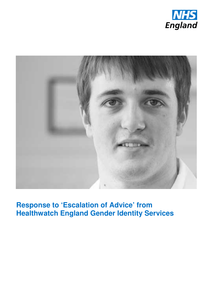



**Response to 'Escalation of Advice' from Healthwatch England Gender Identity Services**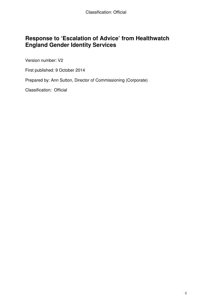## **Response to 'Escalation of Advice' from Healthwatch England Gender Identity Services**

Version number: V2

First published: 9 October 2014

Prepared by: Ann Sutton, Director of Commissioning (Corporate)

Classification: Official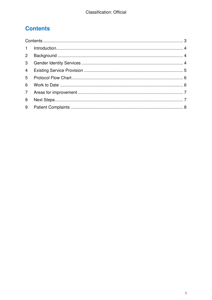# **Contents**

| $2^{\circ}$    |  |  |  |
|----------------|--|--|--|
| 3 <sup>1</sup> |  |  |  |
| $\overline{4}$ |  |  |  |
| 5 <sup>5</sup> |  |  |  |
| 6              |  |  |  |
| $7^{\circ}$    |  |  |  |
| 8              |  |  |  |
|                |  |  |  |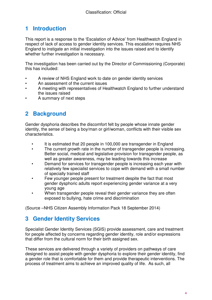## **1 Introduction**

This report is a response to the 'Escalation of Advice' from Healthwatch England in respect of lack of access to gender identity services. This escalation requires NHS England to instigate an initial investigation into the issues raised and to identify whether further investigation is necessary.

The investigation has been carried out by the Director of Commissioning (Corporate) this has included:

- A review of NHS England work to date on gender identity services
- An assessment of the current issues
- A meeting with representatives of Healthwatch England to further understand the issues raised
- A summary of next steps

## **2 Background**

Gender dysphoria describes the discomfort felt by people whose innate gender identity, the sense of being a boy/man or girl/woman, conflicts with their visible sex characteristics.

- It is estimated that 20 people in 100,000 are transgender in England
- The current growth rate in the number of transgender people is increasing. Better social, medical and legislative provision for transgender people, as well as greater awareness, may be leading towards this increase
- Demand for services for transgender people is increasing each year with relatively few specialist services to cope with demand with a small number of specially trained staff
- Few younger people present for treatment despite the fact that most gender dysphoric adults report experiencing gender variance at a very young age
- When transgender people reveal their gender variance they are often exposed to bullying, hate crime and discrimination

(Source –NHS Citizen Assembly Information Pack 18 September 2014)

## **3 Gender Identity Services**

Specialist Gender Identity Services (SGIS) provide assessment, care and treatment for people affected by concerns regarding gender identity, role and/or expressions that differ from the cultural norm for their birth assigned sex.

These services are delivered through a variety of providers on pathways of care designed to assist people with gender dysphoria to explore their gender identity, find a gender role that is comfortable for them and provide therapeutic interventions. The process of treatment aims to achieve an improved quality of life. As such, all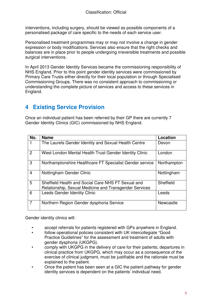interventions, including surgery, should be viewed as possible components of a personalised package of care specific to the needs of each service user.

Personalised treatment programmes may or may not involve a change in gender expression or body modifications. Services also ensure that the right checks and balances are in place prior to people undergoing irreversible treatments and possible surgical interventions.

In April 2013 Gender Identity Services became the commissioning responsibility of NHS England. Prior to this point gender identity services were commissioned by Primary Care Trusts either directly for their local population or through Specialised Commissioning Groups. There was no consistent approach to commissioning or understanding the complete picture of services and access to these services in England.

## **4 Existing Service Provision**

Once an individual patient has been referred by their GP there are currently 7 Gender Identity Clinics (GIC) commissioned by NHS England.

| No.            | <b>Name</b>                                                                                                  | Location    |
|----------------|--------------------------------------------------------------------------------------------------------------|-------------|
|                | The Laurels Gender Identity and Sexual Health Centre                                                         | Devon       |
| 2              | West London Mental Health Trust Gender Identity Clinic                                                       | London      |
| 3              | Northamptonshire Healthcare FT Specialist Gender service                                                     | Northampton |
| $\overline{4}$ | Nottingham Gender Clinic                                                                                     | Nottingham  |
| 5              | Sheffield Health and Social Care NHS FT Sexual and<br>Relationship, Sexual Medicine and Transgender Services | Sheffield   |
| 6              | <b>Leeds Gender Identity Clinic</b>                                                                          | Leeds       |
| $\overline{7}$ | Northern Region Gender dysphoria Service                                                                     | Newcastle   |

Gender identity clinics will:

- accept referrals for patients registered with GPs anywhere in England.
- follow operational policies consistent with UK intercollegiate "Good Practice Guidelines" for the assessment and treatment of adults with gender dysphoria (UKGPG).
- comply with UKGPG in the delivery of care for their patients; departures in clinical practice from UKGPG, which may occur as a consequence of the exercise of clinical judgment, must be justifiable and the rationale must be explained to the patient.
- Once the patient has been seen at a GIC the patient pathway for gender identity services is dependent on the patients' individual need.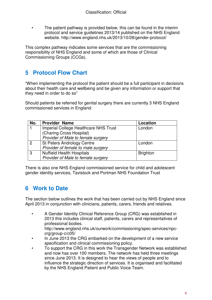• The patient pathway is provided below, this can be found in the interim protocol and service guidelines 2013/14 published on the NHS England website. http://www.england.nhs.uk/2013/10/28/gender-protocol/

This complex pathway indicates some services that are the commissioning responsibility of NHS England and some of which are those of Clinical Commissioning Groups (CCGs).

## **5 Protocol Flow Chart**

"When implementing the protocol the patient should be a full participant in decisions about their health care and wellbeing and be given any information or support that they need in order to do so"

Should patients be referred for genital surgery there are currently 3 NHS England commissioned services in England:

| No.          | <b>Provider Name</b>                         | <b>Location</b> |
|--------------|----------------------------------------------|-----------------|
|              | <b>Imperial College Healthcare NHS Trust</b> | London          |
|              | (Charing Cross Hospital)                     |                 |
|              | Provider of Male to female surgery           |                 |
| 2            | <b>St Peters Andrology Centre</b>            | London          |
|              | Provider of female to male surgery           |                 |
| $\mathbf{3}$ | <b>Nuffield Health Hospitals</b>             | <b>Brighton</b> |
|              | Provider of Male to female surgery           |                 |

There is also one NHS England commissioned service for child and adolescent gender identity services, Tavistock and Portman NHS Foundation Trust

## **6 Work to Date**

The section below outlines the work that has been carried out by NHS England since April 2013 in conjunction with clinicians, patients, carers, friends and relatives.

- A Gender Identity Clinical Reference Group (CRG) was established in 2013 this includes clinical staff, patients, carers and representatives of professional bodies. http://www.england.nhs.uk/ourwork/commissioning/spec-services/npccrg/group-c/c05/
- In June 2013 the CRG embarked on the development of a new service specification and clinical commissioning policy.
- To support the CRG in this work the Transgender Network was established and now has over 100 members. The network has held three meetings since June 2013. It is designed to hear the views of people and to influence the strategic direction of services. It is organised and facilitated by the NHS England Patient and Public Voice Team.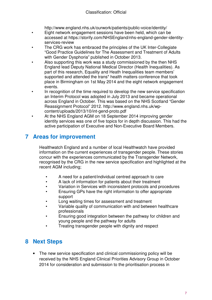http://www.england.nhs.uk/ourwork/patients/public-voice/identity/

- Eight network engagement sessions have been held, which can be accessed at https://storify.com/NHSEngland/nhs-england-gender-identityservices-review
- The CRG work has embraced the principles of the UK Inter-Collegiate "Good Practice Guidelines for The Assessment and Treatment of Adults with Gender Dysphoria" published in October 2013.
- Also supporting this work was a study commissioned by the then NHS England lead Deputy National Medical Director (Health Inequalities). As part of this research, Equality and Heath Inequalities team members' supported and attended the trans\* health matters conference that took place in Birmingham on 1st May 2014 and the eight network engagement events.
- In recognition of the time required to develop the new service specification an Interim Protocol was adopted in July 2013 and became operational across England in October. This was based on the NHS Scotland "Gender Reassignment Protocol" 2012. http://www.england.nhs.uk/wpcontent/uploads/2013/10/int-gend-proto.pdf
	- At the NHS England AGM on 18 September 2014 improving gender identity services was one of five topics for in depth discussion. This had the active participation of Executive and Non-Executive Board Members.

## **7 Areas for improvement**

Healthwatch England and a number of local Healthwatch have provided information on the current experiences of transgender people. These stories concur with the experiences communicated by the Transgender Network, recognised by the CRG in the new service specification and highlighted at the recent AGM including;

- A need for a patient/individual centred approach to care
- A lack of information for patients about their treatment
- Variation in Services with inconsistent protocols and procedures
- Ensuring GPs have the right information to offer appropriate support
- Long waiting times for assessment and treatment
- Variable quality of communication with and between healthcare professionals
- Ensuring good integration between the pathway for children and young people and the pathway for adults
- Treating transgender people with dignity and respect

## **8 Next Steps**

• The new service specification and clinical commissioning policy will be received by the NHS England Clinical Priorities Advisory Group in October 2014 for consideration and submission to the prioritisation process in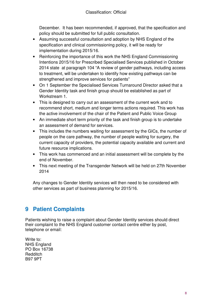December. It has been recommended, if approved, that the specification and policy should be submitted for full public consultation.

- Assuming successful consultation and adoption by NHS England of the specification and clinical commissioning policy, it will be ready for implementation during 2015/16.
- Reinforcing the importance of this work the NHS England Commissioning Intentions 2015/16 for Prescribed Specialised Services published in October 2014 state at paragraph 104 "A review of gender pathways, including access to treatment, will be undertaken to identify how existing pathways can be strengthened and improve services for patients"
- On 1 September the Specialised Services Turnaround Director asked that a Gender Identity task and finish group should be established as part of Workstream 1.
- This is designed to carry out an assessment of the current work and to recommend short, medium and longer terms actions required. This work has the active involvement of the chair of the Patient and Public Voice Group
- An immediate short term priority of the task and finish group is to undertake an assessment of demand for services.
- This includes the numbers waiting for assessment by the GICs, the number of people on the care pathway, the number of people waiting for surgery, the current capacity of providers, the potential capacity available and current and future resource implications.
- This work has commenced and an initial assessment will be complete by the end of November.
- This next meeting of the Transgender Network will be held on 27th November 2014

Any changes to Gender Identity services will then need to be considered with other services as part of business planning for 2015/16.

## **9 Patient Complaints**

Patients wishing to raise a complaint about Gender Identity services should direct their complaint to the NHS England customer contact centre either by post, telephone or email:

Write to: NHS England PO Box 16738 Redditch B97 9PT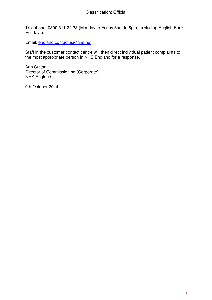Telephone: 0300 311 22 33 (Monday to Friday 8am to 6pm, excluding English Bank Holidays).

Email: england.contactus@nhs.net

Staff in the customer contact centre will then direct individual patient complaints to the most appropriate person in NHS England for a response.

Ann Sutton Director of Commissioning (Corporate) NHS England

9th October 2014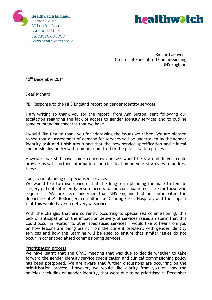



Richard Jeavons Director of Specialised Commissioning NHS England

10<sup>th</sup> December 2014

Dear Richard,

RE: Response to the NHS England report on gender identity services

I am writing to thank you for the report, from Ann Sutton, sent following our escalation regarding the lack of access to gender identity services and to outline some outstanding concerns that we have.

I would like first to thank you for addressing the issues we raised. We are pleased to see that an assessment of demand for services will be undertaken by the gender identity task and finish group and that the new service specification and clinical commissioning policy will soon be submitted to the prioritisation process.

However, we still have some concerns and we would be grateful if you could provide us with further information and clarification on your strategies to address these.

## Long-term planning of specialised services

We would like to raise concern that the long-term planning for male to female surgery did not sufficiently ensure access to and continuation of care for those who require it. We are also concerned that NHS England had not anticipated the departure of Mr Bellringer, consultant at Charing Cross Hospital, and the impact that this would have on delivery of services.

With the changes that are currently occurring to specialised commissioning, this lack of anticipation on the impact on delivery of services raises an alarm that this could occur in relation to other specialised services. I would like to hear from you on how lessons are being learnt from the current problems with gender identity services and how this learning will be used to ensure that similar issues do not occur in other specialised commissioning services.

### Prioritisation process

We have learnt that the CPAG meeting that was due to decide whether to take forward the gender identity service specification and clinical commissioning policy has been postponed. We are aware that further discussions are occurring on the prioritisation process. However, we would like clarity from you on how the policies, including on gender identity, that were due to be prioritised in December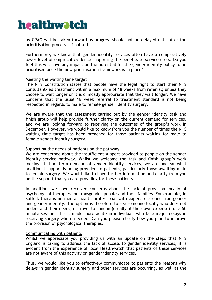

by CPAG will be taken forward as progress should not be delayed until after the prioritisation process is finalised.

Furthermore, we know that gender identity services often have a comparatively lower level of empirical evidence supporting the benefits to service users. Do you feel this will have any impact on the potential for the gender identity policy to be prioritised once the new prioritisation framework is in place?

### Meeting the waiting time target

The NHS Constitution states that people have the legal right to start their NHS consultant-led treatment within a maximum of 18 weeks from referral; unless they choose to wait longer or it is clinically appropriate that they wait longer. We have concerns that the usual 18 week referral to treatment standard is not being respected in regards to male to female gender identity surgery.

We are aware that the assessment carried out by the gender identity task and finish group will help provide further clarity on the current demand for services, and we are looking forward to receiving the outcomes of the group's work in December. However, we would like to know from you the number of times the NHS waiting time target has been breached for those patients waiting for male to female gender identity surgery.

#### Supporting the needs of patients on the pathway

We are concerned about the insufficient support provided to people on the gender identity service pathway. Whilst we welcome the task and finish group's work looking at short-term demand of gender identity services, we are unclear what additional support is being provided to patients, particularly those awaiting male to female surgery. We would like to have further information and clarity from you on the support that you are providing for these patients.

In addition, we have received concerns about the lack of provision locally of psychological therapies for transgender people and their families. For example, in Suffolk there is no mental health professional with expertise around transgender and gender identity. The option is therefore to see someone locally who does not understand their needs, or travel to London (usually at their own expense) for a 50 minute session. This is made more acute in individuals who face major delays in receiving surgery where needed. Can you please clarify how you plan to improve the provision of psychological therapies.

### Communicating with patients

Whilst we appreciate you providing us with an update on the steps that NHS England is taking to address the lack of access to gender identity services, it is evident from the experience of local Healthwatch that patients of these services are not aware of this activity on gender identity services.

Thus, we would like you to effectively communicate to patients the reasons why delays in gender identity surgery and other services are occurring, as well as the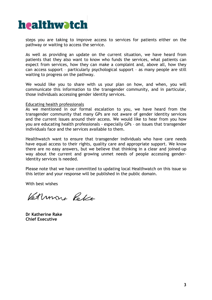

steps you are taking to improve access to services for patients either on the pathway or waiting to access the service.

As well as providing an update on the current situation, we have heard from patients that they also want to know who funds the services, what patients can expect from services, how they can make a complaint and, above all, how they can access support – particularly psychological support – as many people are still waiting to progress on the pathway.

We would like you to share with us your plan on how, and when, you will communicate this information to the transgender community, and in particular, those individuals accessing gender identity services.

### Educating health professionals

As we mentioned in our formal escalation to you, we have heard from the transgender community that many GPs are not aware of gender identity services and the current issues around their access. We would like to hear from you how you are educating health professionals - especially GPs – on issues that transgender individuals face and the services available to them.

Healthwatch want to ensure that transgender individuals who have care needs have equal access to their rights, quality care and appropriate support. We know there are no easy answers, but we believe that thinking in a clear and joined-up way about the current and growing unmet needs of people accessing genderidentity services is needed.

Please note that we have committed to updating local Healthwatch on this issue so this letter and your response will be published in the public domain.

With best wishes

Kethron Pola

**Dr Katherine Rake Chief Executive**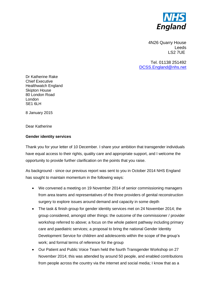

4N26 Quarry House Leeds LS2 7UE

Tel. 01138 251492 DCSS.England@nhs.net

Dr Katherine Rake Chief Executive Healthwatch England Skipton House 80 London Road London SE1 6LH

8 January 2015

Dear Katherine

### **Gender identity services**

Thank you for your letter of 10 December. I share your ambition that transgender individuals have equal access to their rights, quality care and appropriate support, and I welcome the opportunity to provide further clarification on the points that you raise.

As background - since our previous report was sent to you in October 2014 NHS England has sought to maintain momentum in the following ways:

- We convened a meeting on 19 November 2014 of senior commissioning managers from area teams and representatives of the three providers of genital reconstruction surgery to explore issues around demand and capacity in some depth
- The task & finish group for gender identity services met on 24 November 2014; the group considered, amongst other things: the outcome of the commissioner / provider workshop referred to above; a focus on the whole patient pathway including primary care and paediatric services; a proposal to bring the national Gender Identity Development Service for children and adolescents within the scope of the group's work; and formal terms of reference for the group
- Our Patient and Public Voice Team held the fourth Transgender Workshop on 27 November 2014; this was attended by around 50 people, and enabled contributions from people across the country via the internet and social media; I know that as a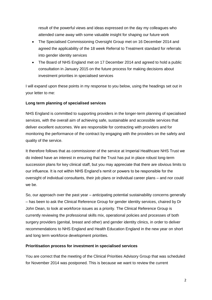result of the powerful views and ideas expressed on the day my colleagues who attended came away with some valuable insight for shaping our future work

- The Specialised Commissioning Oversight Group met on 16 December 2014 and agreed the applicability of the 18 week Referral to Treatment standard for referrals into gender identity services
- The Board of NHS England met on 17 December 2014 and agreed to hold a public consultation in January 2015 on the future process for making decisions about investment priorities in specialised services

I will expand upon these points in my response to you below, using the headings set out in your letter to me:

## **Long term planning of specialised services**

NHS England is committed to supporting providers in the longer-term planning of specialised services, with the overall aim of achieving safe, sustainable and accessible services that deliver excellent outcomes. We are responsible for contracting with providers and for monitoring the performance of the contract by engaging with the providers on the safety and quality of the service.

It therefore follows that as commissioner of the service at Imperial Healthcare NHS Trust we do indeed have an interest in ensuring that the Trust has put in place robust long-term succession plans for key clinical staff, but you may appreciate that there are obvious limits to our influence. It is not within NHS England's remit or powers to be responsible for the oversight of individual consultants, their job plans or individual career plans – and nor could we be.

So, our approach over the past year – anticipating potential sustainability concerns generally – has been to ask the Clinical Reference Group for gender identity services, chaired by Dr John Dean, to look at workforce issues as a priority. The Clinical Reference Group is currently reviewing the professional skills mix, operational policies and processes of both surgery providers (genital, breast and other) and gender identity clinics, in order to deliver recommendations to NHS England and Health Education England in the new year on short and long term workforce development priorities.

## **Prioritisation process for investment in specialised services**

You are correct that the meeting of the Clinical Priorities Advisory Group that was scheduled for November 2014 was postponed. This is because we want to review the current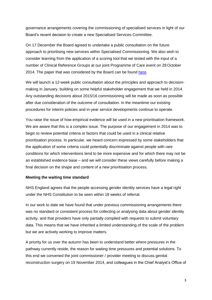governance arrangements covering the commissioning of specialised services in light of our Board's recent decision to create a new Specialised Services Committee.

On 17 December the Board agreed to undertake a public consultation on the future approach to prioritising new services within Specialised Commissioning. We also wish to consider learning from the application of a scoring tool that we tested with the input of a number of Clinical Reference Groups at our joint Programme of Care event on 28 October 2014. The paper that was considered by the Board can be found [here.](file:///C:/Users/RJeavons1/AppData/Local/Microsoft/Windows/AppData/Local/Microsoft/Windows/Temporary%20Internet%20Files/Content.IE5/YIKYVJ1B/a%20set%20of%20principles%20which%20will%20underpin%20the%20decision%20making%20process%20for%20investment%20in%20specialised%20services)

We will launch a 12-week public consultation about the principles and approach to decisionmaking in January, building on some helpful stakeholder engagement that we held in 2014. Any outstanding decisions about 2015/16 commissioning will be made as soon as possible after due consideration of the outcome of consultation. In the meantime our existing procedures for interim policies and in-year service developments continue to operate.

You raise the issue of how empirical evidence will be used in a new prioritisation framework. We are aware that this is a complex issue. The purpose of our engagement in 2014 was to begin to review potential criteria or factors that could be used in a clinical relative prioritisation process. In particular, we heard concern expressed by some stakeholders that the application of some criteria could potentially discriminate against people with rare conditions for which interventions tend to be more expensive and for which there may not be an established evidence base – and we will consider these views carefully before making a final decision on the shape and content of a new prioritisation process.

## **Meeting the waiting time standard**

NHS England agrees that the people accessing gender identity services have a legal right under the NHS Constitution to be seen within 18 weeks of referral.

In our work to date we have found that under previous commissioning arrangements there was no standard or consistent process for collecting or analysing data about gender identity activity, and that providers have only partially complied with requests to submit voluntary data. This means that we have inherited a limited understanding of the scale of the problem but we are actively working to improve matters.

A priority for us over the autumn has been to understand better where pressures in the pathway currently reside, the reason for waiting time pressures and potential solutions. To this end we convened the joint commissioner / provider meeting to discuss genital reconstruction surgery on 19 November 2014, and colleagues in the Chief Analyst's Office of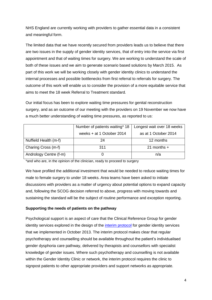NHS England are currently working with providers to gather essential data in a consistent and meaningful form.

The limited data that we have recently secured from providers leads us to believe that there are two issues in the supply of gender identity services, that of entry into the service via first appointment and that of waiting times for surgery. We are working to understand the scale of both of these issues and we aim to generate scenario based solutions by March 2015. As part of this work we will be working closely with gender identity clinics to understand the internal processes and possible bottlenecks from first referral to referrals for surgery. The outcome of this work will enable us to consider the provision of a more equitable service that aims to meet the 18 week Referral to Treatment standard.

Our initial focus has been to explore waiting time pressures for genital reconstruction surgery, and as an outcome of our meeting with the providers on 19 November we now have a much better understanding of waiting time pressures, as reported to us:

|                        | Number of patients waiting* 18 | Longest wait over 18 weeks |
|------------------------|--------------------------------|----------------------------|
|                        | weeks + at 1 October 2014      | as at 1 October 2014       |
| Nuffield Health (m-f)  | 24                             | 12 months                  |
| Charing Cross (m-f)    | 311                            | 21 months $+$              |
| Andrology Centre (f-m) |                                | n/a                        |

\*and who are, in the opinion of the clinician, ready to proceed to surgery

We have profiled the additional investment that would be needed to reduce waiting times for male to female surgery to under 18 weeks. Area teams have been asked to initiate discussions with providers as a matter of urgency about potential options to expand capacity and, following the SCOG decision referred to above, progress with moving towards and sustaining the standard will be the subject of routine performance and exception reporting.

## **Supporting the needs of patients on the pathway**

Psychological support is an aspect of care that the Clinical Reference Group for gender identity services explored in the design of the [interim protocol](http://www.england.nhs.uk/wp-content/uploads/2013/10/int-gend-proto.pdf) for gender identity services that we implemented in October 2013. The interim protocol makes clear that regular psychotherapy and counselling should be available throughout the patient's individualised gender dysphoria care pathway, delivered by therapists and counsellors with specialist knowledge of gender issues. Where such psychotherapy and counselling is not available within the Gender Identity Clinic or network, the interim protocol requires the clinic to signpost patients to other appropriate providers and support networks as appropriate.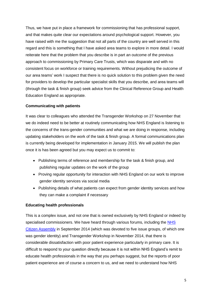Thus, we have put in place a framework for commissioning that has professional support, and that makes quite clear our expectations around psychological support. However, you have raised with me the suggestion that not all parts of the country are well served in this regard and this is something that I have asked area teams to explore in more detail. I would reiterate here that the problem that you describe is in part an outcome of the previous approach to commissioning by Primary Care Trusts, which was disparate and with no consistent focus on workforce or training requirements. Without prejudicing the outcome of our area teams' work I suspect that there is no quick solution to this problem given the need for providers to develop the particular specialist skills that you describe, and area teams will (through the task & finish group) seek advice from the Clinical Reference Group and Health Education England as appropriate.

### **Communicating with patients**

It was clear to colleagues who attended the Transgender Workshop on 27 November that we do indeed need to be better at routinely communicating how NHS England is listening to the concerns of the trans-gender communities and what we are doing in response, including updating stakeholders on the work of the task & finish group. A formal communications plan is currently being developed for implementation in January 2015. We will publish the plan once it is has been agreed but you may expect us to commit to:

- Publishing terms of reference and membership for the task & finish group, and publishing regular updates on the work of the group
- Proving regular opportunity for interaction with NHS England on our work to improve gender identity services via social media
- Publishing details of what patients can expect from gender identity services and how they can make a complaint if necessary

## **Educating health professionals**

This is a complex issue, and not one that is owned exclusively by NHS England or indeed by specialised commissioners. We have heard through various forums, including the NHS [Citizen Assembly](http://www.england.nhs.uk/wp-content/uploads/2014/10/item5-board-1114.pdf) in September 2014 (which was devoted to five issue groups, of which one was gender identity) and Transgender Workshop in November 2014, that there is considerable dissatisfaction with poor patient experience particularly in primary care. It is difficult to respond to your question directly because it is not within NHS England's remit to educate health professionals in the way that you perhaps suggest, but the reports of poor patient experience are of course a concern to us, and we need to understand how NHS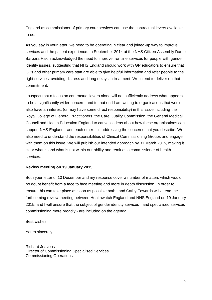England as commissioner of primary care services can use the contractual levers available to us.

As you say in your letter, we need to be operating in clear and joined-up way to improve services and the patient experience. In September 2014 at the NHS Citizen Assembly Dame Barbara Hakin acknowledged the need to improve frontline services for people with gender identity issues, suggesting that NHS England should work with GP educators to ensure that GPs and other primary care staff are able to give helpful information and refer people to the right services, avoiding distress and long delays in treatment. We intend to deliver on that commitment.

I suspect that a focus on contractual levers alone will not sufficiently address what appears to be a significantly wider concern, and to that end I am writing to organisations that would also have an interest (or may have some direct responsibility) in this issue including the Royal College of General Practitioners, the Care Quality Commission, the General Medical Council and Health Education England to canvass ideas about how these organisations can support NHS England - and each other – in addressing the concerns that you describe. We also need to understand the responsibilities of Clinical Commissioning Groups and engage with them on this issue. We will publish our intended approach by 31 March 2015, making it clear what is and what is not within our ability and remit as a commissioner of health services.

### **Review meeting on 19 January 2015**

Both your letter of 10 December and my response cover a number of matters which would no doubt benefit from a face to face meeting and more in depth discussion. In order to ensure this can take place as soon as possible both I and Cathy Edwards will attend the forthcoming review meeting between Healthwatch England and NHS England on 19 January 2015, and I will ensure that the subject of gender identity services - and specialised services commissioning more broadly - are included on the agenda.

Best wishes

Yours sincerely

Richard Jeavons Director of Commissioning Specialised Services Commissioning Operations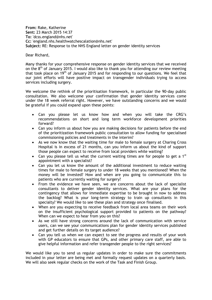**From:** Rake, Katherine **Sent:** 23 March 2015 14:37 **To:** 'dcss.england@nhs.net' **Cc:** 'england.nhs.healthwatchescalation@nhs.net' **Subject:** RE: Response to the NHS England letter on gender identity services

Dear Richard,

Many thanks for your comprehensive response on gender identity services that we received on the  $8<sup>th</sup>$  of January 2015. I would also like to thank you for attending our review meeting that took place on  $19<sup>th</sup>$  of January 2015 and for responding to our questions. We feel that our joint efforts will have positive impact on transgender individuals trying to access services including surgery.

We welcome the rethink of the prioritisation framework, in particular the 90-day public consultation. We also welcome your confirmation that gender identity services come under the 18 week referral right. However, we have outstanding concerns and we would be grateful if you could expand upon these points:

- Can you please let us know how and when you will take the CRG's recommendations on short and long term workforce development priorities forward?
- Can you inform us about how you are making decisions for patients before the end of the prioritization framework public consultation to allow funding for specialised commissioning policies and treatments in the interim?
- As we now know that the waiting time for male to female surgery at Charing Cross Hospital is in excess of 21 months, can you inform us about the kind of support those people can expect to receive from local providers while waiting?
- Can you please tell us what the current waiting times are for people to get a 1st appointment with a specialist?
- Can you let us know the amount of the additional investment to reduce waiting times for male to female surgery to under 18 weeks that you mentioned? When the money will be invested? How and when are you going to communicate this to patients who are currently waiting for surgery?
- From the evidence we have seen, we are concerns about the lack of specialist consultants to deliver gender identity services. What are your plans for the contingency that allows for immediate expertise to be brought in now to address the backlog? What is your long-term strategy to train up consultants in this specialty? We would like to see these plan and strategy once finalised.
- When are you expecting to receive feedback from local area teams on their work on the insufficient psychological support provided to patients on the pathway? When can we expect to hear from you on this?
- As we still have strong concerns around the lack of communication with service users, can we see your communications plan for gender identity services published and get further details on its target audience?
- Can you tell us when we can expect to see the progress and results of your work with GP educators to ensure that GPs, and other primary care staff, are able to give helpful information and refer transgender people to the right services?

We would like you to send us regular updates in order to make sure the commitments included in your letter are being met and formally request updates on a quarterly basis. We will also seek regular checks on the work of the Task and Finish Group.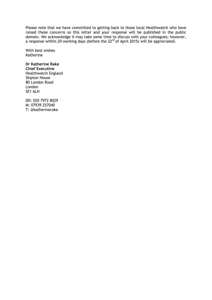Please note that we have committed to getting back to those local Healthwatch who have raised these concerns so this letter and your response will be published in the public domain. We acknowledge it may take some time to discuss with your colleagues; however, a response within 20 working days (before the 22<sup>nd</sup> of April 2015) will be appreciated.

With best wishes Katherine

## **Dr Katherine Rake**

**Chief Executive** Healthwatch England Skipton House 80 London Road London SE1 6LH

DD: 020 7972 8029 M: 07939 257040 T: @katherinerake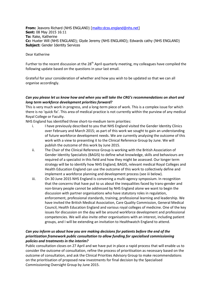**From:** Jeavons Richard (NHS ENGLAND) [\[mailto:dcss.england@nhs.net\]](mailto:dcss.england@nhs.net) **Sent:** 08 May 2015 16:11 **To:** Rake, Katherine **Cc:** Huxter Will (NHS ENGLAND); Glyde Jeremy (NHS ENGLAND); Edwards cathy (NHS ENGLAND) **Subject: Gender Identity Services** 

#### Dear Katherine

Further to the recent discussion at the 28<sup>th</sup> April quarterly meeting, my colleagues have compiled the following update based on the questions in your last email.

Grateful for your consideration of whether and how you wish to be updated so that we can all organise accordingly.

#### *Can you please let us know how and when you will take the CRG's recommendations on short and long term workforce development priorities forward?*

This is very much work in progress, and a long-term piece of work. This is a complex issue for which there is no 'quick fix'. This area of medical practice is not currently within the purview of any medical Royal College or Faculty.

NHS England has identified three short-to-medium term priorities:

- i. I have previously described to you that NHS England visited the Gender Identity Clinics over February and March 2015; as part of this work we sought to gain an understanding of future workforce development needs. We are currently analysing the outcome of this work with a view to presenting it to the Clinical Reference Group by June. We will publish the outcome of this work by June 2015.
- ii. The Chair of the Clinical Reference Group is working with the British Association of Gender Identity Specialists (BAGIS) to define what knowledge, skills and behaviours are required of a specialist in this field and how they might be assessed. Our longer term strategy will be to identify how NHS England, BAGIS, relevant medical Royal Colleges and Health Education England can use the outcome of this work to collectively define and implement a workforce planning and development process (see iii below).
- iii. On 30 June 2015 NHS England is convening a multi-agency symposium. In recognition that the concerns that have put to us about the inequalities faced by trans-gender and non-binary people cannot be addressed by NHS England alone we want to begin the discussion with partner organisations who have statutory roles in regulation, enforcement, professional standards, training, professional learning and leadership. We have invited the British Medical Association, Care Quality Commission, General Medical Council, Health Education England and various royal colleges of medicine. One of the key issues for discussion on the day will be around workforce development and professional competencies. We will also invite other organisations with an interest, including patient groups, and I will be extending an invitation to Healthwatch England to attend.

### *Can you inform us about how you are making decisions for patients before the end of the prioritization framework public consultation to allow funding for specialised commissioning policies and treatments in the interim?*

Public consultation closes on 27 April and we have put in place a rapid process that will enable us to consider the outcome of consultation, refine the process of prioritisation as necessary based on the outcome of consultation, and ask the Clinical Priorities Advisory Group to make recommendations on the prioritisation of proposed new investments for final decision by the Specialised Commissioning Oversight Group by June 2015.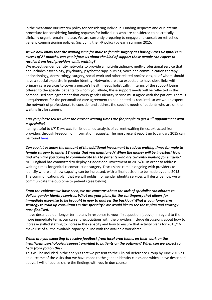In the meantime our interim policy for considering Individual Funding Requests and our interim procedure for considering funding requests for individuals who are considered to be critically clinically urgent remain in place. We are currently preparing to engage and consult on refreshed generic commissioning policies (including the IFR policy) by early summer 2015.

### *As we now know that the waiting time for male to female surgery at Charing Cross Hospital is in excess of 21 months, can you inform us about the kind of support those people can expect to receive from local providers while waiting?*

We expect gender identity networks to provide a multi-disciplinary, multi-professional service that and includes psychology, psychiatry, psychotherapy, nursing, voice and communication therapy, endocrinology, dermatology, surgery, social work and other related professions, all of whom should have a special expertise in gender identity. Networks are also expected to have close links with primary care services to cover a person's health needs holistically. In terms of the support being offered to the specific patients to whom you allude, these support needs will be reflected in the personalised care agreement that every gender identity service must agree with the patient. There is a requirement for the personalised care agreement to be updated as required, so we would expect the network of professionals to consider and address the specific needs of patients who are on the waiting list for surgery.

### *Can you please tell us what the current waiting times are for people to get a 1st appointment with a specialist?*

I am grateful to *UK Trans Info* for its detailed analysis of current waiting times, extracted from providers through Freedom of Information requests. The most recent report up to January 2015 can be foun[d here.](http://uktrans.info/attachments/article/341/patientpopulation-jan15.pdf)

*Can you let us know the amount of the additional investment to reduce waiting times for male to female surgery to under 18 weeks that you mentioned? When the money will be invested? How and when are you going to communicate this to patients who are currently waiting for surgery?* NHS England has committed to deploying additional investment in 2015/16 in order to address waiting times for genital reconstruction surgery. Discussions remain ongoing with providers to identify where and how capacity can be increased, with a final decision to be made by June 2015. The communications plan that we will publish for gender identity services will describe how we will communicate the outcome to patients (see below).

## *From the evidence we have seen, we are concerns about the lack of specialist consultants to deliver gender identity services. What are your plans for the contingency that allows for immediate expertise to be brought in now to address the backlog? What is your long-term strategy to train up consultants in this specialty? We would like to see these plan and strategy once finalised.*

I have described our longer term plans in response to your first question (above). In regard to the more immediate term, our current negotiations with the providers include discussions about how to increase skilled staffing to increase the capacity and how to ensure that activity plans for 2015/16 make use of all the available capacity in line with the available workforce.

## *When are you expecting to receive feedback from local area teams on their work on the insufficient psychological support provided to patients on the pathway? When can we expect to hear from you on this?*

This will be included in the analysis that we present to the Clinical Reference Group by June 2015 as an outcome of the visits that we have made to the gender identity clinics and which I have described above. I will of course share the findings with you in due course.